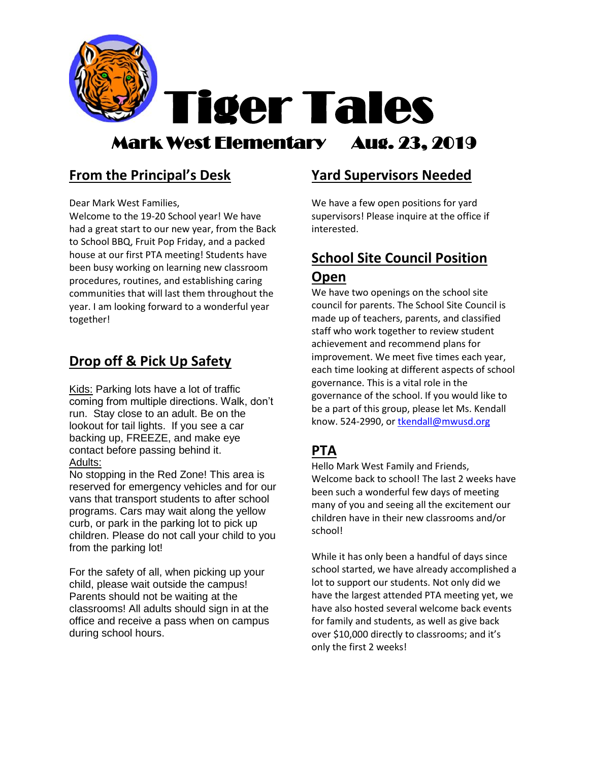

## Mark West Elementary Aug. 23, 2019

### **From the Principal's Desk**

Dear Mark West Families,

Welcome to the 19-20 School year! We have had a great start to our new year, from the Back to School BBQ, Fruit Pop Friday, and a packed house at our first PTA meeting! Students have been busy working on learning new classroom procedures, routines, and establishing caring communities that will last them throughout the year. I am looking forward to a wonderful year together!

### **Drop off & Pick Up Safety**

Kids: Parking lots have a lot of traffic coming from multiple directions. Walk, don't run. Stay close to an adult. Be on the lookout for tail lights. If you see a car backing up, FREEZE, and make eye contact before passing behind it. Adults:

No stopping in the Red Zone! This area is reserved for emergency vehicles and for our vans that transport students to after school programs. Cars may wait along the yellow curb, or park in the parking lot to pick up children. Please do not call your child to you from the parking lot!

For the safety of all, when picking up your child, please wait outside the campus! Parents should not be waiting at the classrooms! All adults should sign in at the office and receive a pass when on campus during school hours.

#### **Yard Supervisors Needed**

We have a few open positions for yard supervisors! Please inquire at the office if interested.

### **School Site Council Position Open**

We have two openings on the school site council for parents. The School Site Council is made up of teachers, parents, and classified staff who work together to review student achievement and recommend plans for improvement. We meet five times each year, each time looking at different aspects of school governance. This is a vital role in the governance of the school. If you would like to be a part of this group, please let Ms. Kendall know. 524-2990, o[r tkendall@mwusd.org](mailto:tkendall@mwusd.org)

### **PTA**

Hello Mark West Family and Friends, Welcome back to school! The last 2 weeks have been such a wonderful few days of meeting many of you and seeing all the excitement our children have in their new classrooms and/or school!

While it has only been a handful of days since school started, we have already accomplished a lot to support our students. Not only did we have the largest attended PTA meeting yet, we have also hosted several welcome back events for family and students, as well as give back over \$10,000 directly to classrooms; and it's only the first 2 weeks!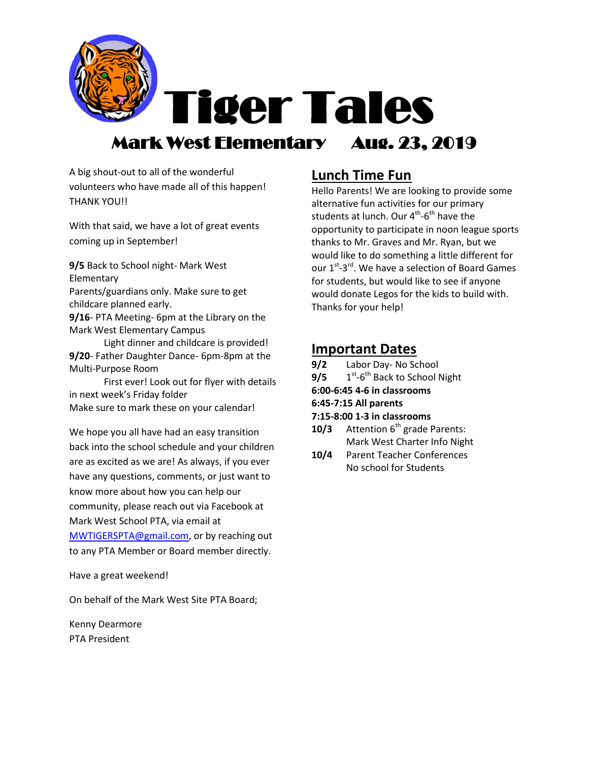

Tiger Tales

# Mark West Elementary Aug. 23, 2019

A big shout-out to all of the wonderful volunteers who have made all of this happen! THANK YOU!!

With that said, we have a lot of great events coming up in September!

**9/5** Back to School night- Mark West Elementary Parents/guardians only. Make sure to get childcare planned early.

**9/16**- PTA Meeting- 6pm at the Library on the Mark West Elementary Campus

Light dinner and childcare is provided! **9/20**- Father Daughter Dance- 6pm-8pm at the Multi-Purpose Room

First ever! Look out for flyer with details in next week's Friday folder Make sure to mark these on your calendar!

We hope you all have had an easy transition back into the school schedule and your children are as excited as we are! As always, if you ever have any questions, comments, or just want to know more about how you can help our community, please reach out via Facebook at Mark West School PTA, via email at [MWTIGERSPTA@gmail.com,](mailto:MWTIGERSPTA@gmail.com) or by reaching out to any PTA Member or Board member directly.

Have a great weekend!

On behalf of the Mark West Site PTA Board;

Kenny Dearmore PTA President

### **Lunch Time Fun**

Hello Parents! We are looking to provide some alternative fun activities for our primary students at lunch. Our 4<sup>th</sup>-6<sup>th</sup> have the opportunity to participate in noon league sports thanks to Mr. Graves and Mr. Ryan, but we would like to do something a little different for our 1<sup>st</sup>-3<sup>rd</sup>. We have a selection of Board Games for students, but would like to see if anyone would donate Legos for the kids to build with. Thanks for your help!

#### **Important Dates**

| 9/2<br>Labor Day- No School |  |
|-----------------------------|--|
|-----------------------------|--|

- **9/5** 1 <sup>st</sup>-6<sup>th</sup> Back to School Night
- **6:00-6:45 4-6 in classrooms**

#### **6:45-7:15 All parents**

- **7:15-8:00 1-3 in classrooms**
- **10/3** Attention 6<sup>th</sup> grade Parents: Mark West Charter Info Night
- **10/4** Parent Teacher Conferences No school for Students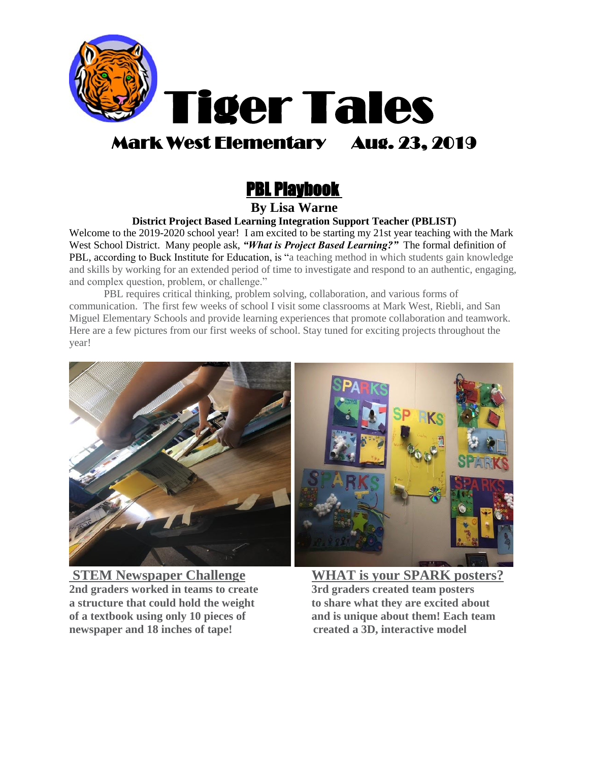

# Mark West Elementary Aug. 23, 2019

# PBL Playbook

#### **By Lisa Warne**

**District Project Based Learning Integration Support Teacher (PBLIST)**

Welcome to the 2019-2020 school year! I am excited to be starting my 21st year teaching with the Mark West School District. Many people ask, *"What is Project Based Learning?"* The formal definition of PBL, according to Buck Institute for Education, is "a teaching method in which students gain knowledge and skills by working for an extended period of time to investigate and respond to an authentic, engaging, and complex question, problem, or challenge."

PBL requires critical thinking, problem solving, collaboration, and various forms of communication. The first few weeks of school I visit some classrooms at Mark West, Riebli, and San Miguel Elementary Schools and provide learning experiences that promote collaboration and teamwork. Here are a few pictures from our first weeks of school. Stay tuned for exciting projects throughout the year!



**STEM Newspaper Challenge WHAT is your SPARK posters? 2nd graders worked in teams to create 3rd graders created team posters a structure that could hold the weight to share what they are excited about of a textbook using only 10 pieces of and is unique about them! Each team newspaper and 18 inches of tape! created a 3D, interactive model**